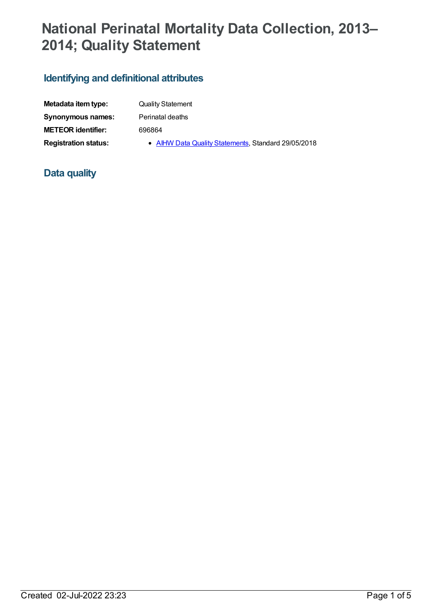# **National Perinatal Mortality Data Collection, 2013– 2014; Quality Statement**

# **Identifying and definitional attributes**

| Metadata item type:         | <b>Quality Statement</b> |
|-----------------------------|--------------------------|
| Synonymous names:           | Perinatal deaths         |
| <b>METEOR identifier:</b>   | 696864                   |
| <b>Registration status:</b> | • AIHW Data (            |

**gistration status:** • AIHW Data Quality [Statements](https://meteor.aihw.gov.au/RegistrationAuthority/5), Standard 29/05/2018

## **Data quality**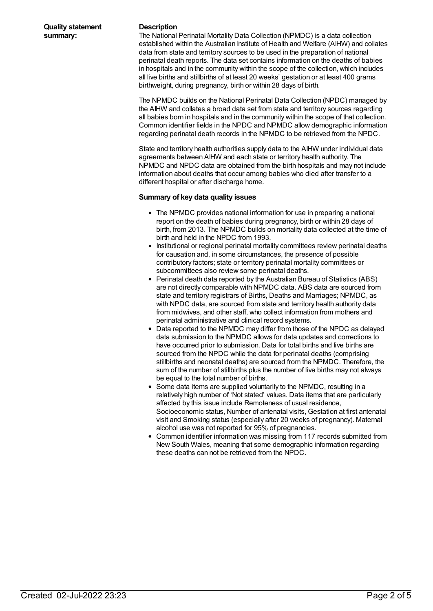#### **Description**

The National Perinatal Mortality Data Collection (NPMDC) is a data collection established within the Australian Institute of Health and Welfare (AIHW) and collates data from state and territory sources to be used in the preparation of national perinatal death reports. The data set contains information on the deaths of babies in hospitals and in the community within the scope of the collection, which includes all live births and stillbirths of at least 20 weeks' gestation or at least 400 grams birthweight, during pregnancy, birth or within 28 days of birth.

The NPMDC builds on the National Perinatal Data Collection (NPDC) managed by the AIHW and collates a broad data set from state and territory sources regarding all babies born in hospitals and in the community within the scope of that collection. Common identifier fields in the NPDC and NPMDC allow demographic information regarding perinatal death records in the NPMDC to be retrieved from the NPDC.

State and territory health authorities supply data to the AIHW under individual data agreements between AIHW and each state or territory health authority. The NPMDC and NPDC data are obtained from the birth hospitals and may not include information about deaths that occur among babies who died after transfer to a different hospital or after discharge home.

#### **Summary of key data quality issues**

- The NPMDC provides national information for use in preparing a national report on the death of babies during pregnancy, birth or within 28 days of birth, from 2013. The NPMDC builds on mortality data collected at the time of birth and held in the NPDC from 1993.
- Institutional or regional perinatal mortality committees review perinatal deaths for causation and, in some circumstances, the presence of possible contributory factors; state or territory perinatal mortality committees or subcommittees also review some perinatal deaths.
- Perinatal death data reported by the Australian Bureau of Statistics (ABS) are not directly comparable with NPMDC data. ABS data are sourced from state and territory registrars of Births, Deaths and Marriages; NPMDC, as with NPDC data, are sourced from state and territory health authority data from midwives, and other staff, who collect information from mothers and perinatal administrative and clinical record systems.
- Data reported to the NPMDC may differ from those of the NPDC as delayed data submission to the NPMDC allows for data updates and corrections to have occurred prior to submission. Data for total births and live births are sourced from the NPDC while the data for perinatal deaths (comprising stillbirths and neonatal deaths) are sourced from the NPMDC. Therefore, the sum of the number of stillbirths plus the number of live births may not always be equal to the total number of births.
- Some data items are supplied voluntarily to the NPMDC, resulting in a relatively high number of 'Not stated' values. Data items that are particularly affected by this issue include Remoteness of usual residence, Socioeconomic status, Number of antenatal visits, Gestation at first antenatal visit and Smoking status (especially after 20 weeks of pregnancy). Maternal alcohol use was not reported for 95% of pregnancies.
- Common identifier information was missing from 117 records submitted from New South Wales, meaning that some demographic information regarding these deaths can not be retrieved from the NPDC.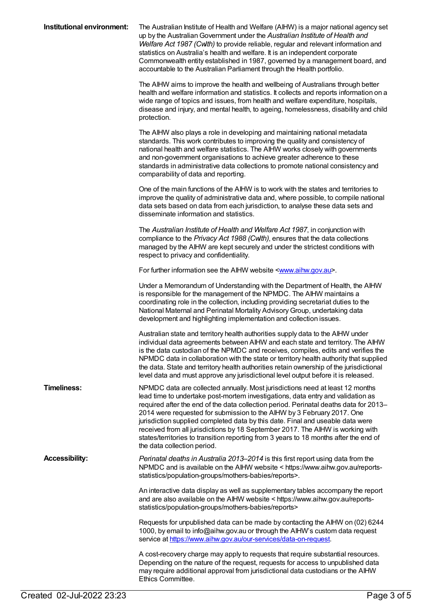| Institutional environment: | The Australian Institute of Health and Welfare (AIHW) is a major national agency set<br>up by the Australian Government under the Australian Institute of Health and<br>Welfare Act 1987 (Cwlth) to provide reliable, regular and relevant information and<br>statistics on Australia's health and welfare. It is an independent corporate<br>Commonwealth entity established in 1987, governed by a management board, and<br>accountable to the Australian Parliament through the Health portfolio.                                                                                                                            |
|----------------------------|---------------------------------------------------------------------------------------------------------------------------------------------------------------------------------------------------------------------------------------------------------------------------------------------------------------------------------------------------------------------------------------------------------------------------------------------------------------------------------------------------------------------------------------------------------------------------------------------------------------------------------|
|                            | The AIHW aims to improve the health and wellbeing of Australians through better<br>health and welfare information and statistics. It collects and reports information on a<br>wide range of topics and issues, from health and welfare expenditure, hospitals,<br>disease and injury, and mental health, to ageing, homelessness, disability and child<br>protection.                                                                                                                                                                                                                                                           |
|                            | The AIHW also plays a role in developing and maintaining national metadata<br>standards. This work contributes to improving the quality and consistency of<br>national health and welfare statistics. The AIHW works closely with governments<br>and non-government organisations to achieve greater adherence to these<br>standards in administrative data collections to promote national consistency and<br>comparability of data and reporting.                                                                                                                                                                             |
|                            | One of the main functions of the AIHW is to work with the states and territories to<br>improve the quality of administrative data and, where possible, to compile national<br>data sets based on data from each jurisdiction, to analyse these data sets and<br>disseminate information and statistics.                                                                                                                                                                                                                                                                                                                         |
|                            | The Australian Institute of Health and Welfare Act 1987, in conjunction with<br>compliance to the Privacy Act 1988 (Cwlth), ensures that the data collections<br>managed by the AIHW are kept securely and under the strictest conditions with<br>respect to privacy and confidentiality.                                                                                                                                                                                                                                                                                                                                       |
|                            | For further information see the AIHW website <www.aihw.gov.au>.</www.aihw.gov.au>                                                                                                                                                                                                                                                                                                                                                                                                                                                                                                                                               |
|                            | Under a Memorandum of Understanding with the Department of Health, the AIHW<br>is responsible for the management of the NPMDC. The AIHW maintains a<br>coordinating role in the collection, including providing secretariat duties to the<br>National Maternal and Perinatal Mortality Advisory Group, undertaking data<br>development and highlighting implementation and collection issues.                                                                                                                                                                                                                                   |
|                            | Australian state and territory health authorities supply data to the AIHW under<br>individual data agreements between AIHW and each state and territory. The AIHW<br>is the data custodian of the NPMDC and receives, compiles, edits and verifies the<br>NPMDC data in collaboration with the state or territory health authority that supplied<br>the data. State and territory health authorities retain ownership of the jurisdictional<br>level data and must approve any jurisdictional level output before it is released.                                                                                               |
| <b>Timeliness:</b>         | NPMDC data are collected annually. Most jurisdictions need at least 12 months<br>lead time to undertake post-mortem investigations, data entry and validation as<br>required after the end of the data collection period. Perinatal deaths data for 2013-<br>2014 were requested for submission to the AIHW by 3 February 2017. One<br>jurisdiction supplied completed data by this date. Final and useable data were<br>received from all jurisdictions by 18 September 2017. The AIHW is working with<br>states/territories to transition reporting from 3 years to 18 months after the end of<br>the data collection period. |
| <b>Accessibility:</b>      | Perinatal deaths in Australia 2013-2014 is this first report using data from the<br>NPMDC and is available on the AIHW website < https://www.aihw.gov.au/reports-<br>statistics/population-groups/mothers-babies/reports>.                                                                                                                                                                                                                                                                                                                                                                                                      |
|                            | An interactive data display as well as supplementary tables accompany the report<br>and are also available on the AIHW website < https://www.aihw.gov.au/reports-<br>statistics/population-groups/mothers-babies/reports>                                                                                                                                                                                                                                                                                                                                                                                                       |
|                            | Requests for unpublished data can be made by contacting the AIHW on (02) 6244<br>1000, by email to info@aihw.gov.au or through the AIHW's custom data request<br>service at https://www.aihw.gov.au/our-services/data-on-request.                                                                                                                                                                                                                                                                                                                                                                                               |
|                            | A cost-recovery charge may apply to requests that require substantial resources.<br>Depending on the nature of the request, requests for access to unpublished data<br>may require additional approval from jurisdictional data custodians or the AIHW<br>Ethics Committee.                                                                                                                                                                                                                                                                                                                                                     |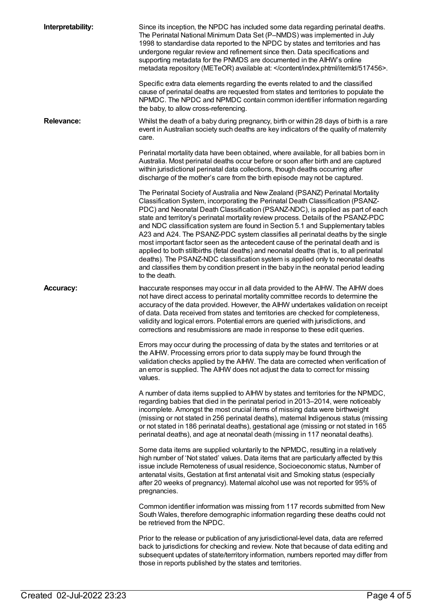| Interpretability: | Since its inception, the NPDC has included some data regarding perinatal deaths.<br>The Perinatal National Minimum Data Set (P-NMDS) was implemented in July<br>1998 to standardise data reported to the NPDC by states and territories and has<br>undergone regular review and refinement since then. Data specifications and<br>supporting metadata for the PNMDS are documented in the AIHW's online<br>metadata repository (METeOR) available at: .                                                                                                                                                                                                                                                                                                                                                                                                                                     |
|-------------------|---------------------------------------------------------------------------------------------------------------------------------------------------------------------------------------------------------------------------------------------------------------------------------------------------------------------------------------------------------------------------------------------------------------------------------------------------------------------------------------------------------------------------------------------------------------------------------------------------------------------------------------------------------------------------------------------------------------------------------------------------------------------------------------------------------------------------------------------------------------------------------------------|
|                   | Specific extra data elements regarding the events related to and the classified<br>cause of perinatal deaths are requested from states and territories to populate the<br>NPMDC. The NPDC and NPMDC contain common identifier information regarding<br>the baby, to allow cross-referencing.                                                                                                                                                                                                                                                                                                                                                                                                                                                                                                                                                                                                |
| <b>Relevance:</b> | Whilst the death of a baby during pregnancy, birth or within 28 days of birth is a rare<br>event in Australian society such deaths are key indicators of the quality of maternity<br>care.                                                                                                                                                                                                                                                                                                                                                                                                                                                                                                                                                                                                                                                                                                  |
|                   | Perinatal mortality data have been obtained, where available, for all babies born in<br>Australia. Most perinatal deaths occur before or soon after birth and are captured<br>within jurisdictional perinatal data collections, though deaths occurring after<br>discharge of the mother's care from the birth episode may not be captured.                                                                                                                                                                                                                                                                                                                                                                                                                                                                                                                                                 |
|                   | The Perinatal Society of Australia and New Zealand (PSANZ) Perinatal Mortality<br>Classification System, incorporating the Perinatal Death Classification (PSANZ-<br>PDC) and Neonatal Death Classification (PSANZ-NDC), is applied as part of each<br>state and territory's perinatal mortality review process. Details of the PSANZ-PDC<br>and NDC classification system are found in Section 5.1 and Supplementary tables<br>A23 and A24. The PSANZ-PDC system classifies all perinatal deaths by the single<br>most important factor seen as the antecedent cause of the perinatal death and is<br>applied to both stillbirths (fetal deaths) and neonatal deaths (that is, to all perinatal<br>deaths). The PSANZ-NDC classification system is applied only to neonatal deaths<br>and classifies them by condition present in the baby in the neonatal period leading<br>to the death. |
| <b>Accuracy:</b>  | Inaccurate responses may occur in all data provided to the AIHW. The AIHW does<br>not have direct access to perinatal mortality committee records to determine the<br>accuracy of the data provided. However, the AIHW undertakes validation on receipt<br>of data. Data received from states and territories are checked for completeness,<br>validity and logical errors. Potential errors are queried with jurisdictions, and<br>corrections and resubmissions are made in response to these edit queries.                                                                                                                                                                                                                                                                                                                                                                               |
|                   | Errors may occur during the processing of data by the states and territories or at<br>the AIHW. Processing errors prior to data supply may be found through the<br>validation checks applied by the AIHW. The data are corrected when verification of<br>an error is supplied. The AIHW does not adjust the data to correct for missing<br>values.                                                                                                                                                                                                                                                                                                                                                                                                                                                                                                                                          |
|                   | A number of data items supplied to AIHW by states and territories for the NPMDC,<br>regarding babies that died in the perinatal period in 2013-2014, were noticeably<br>incomplete. Amongst the most crucial items of missing data were birthweight<br>(missing or not stated in 256 perinatal deaths), maternal Indigenous status (missing<br>or not stated in 186 perinatal deaths), gestational age (missing or not stated in 165<br>perinatal deaths), and age at neonatal death (missing in 117 neonatal deaths).                                                                                                                                                                                                                                                                                                                                                                      |
|                   | Some data items are supplied voluntarily to the NPMDC, resulting in a relatively<br>high number of 'Not stated' values. Data items that are particularly affected by this<br>issue include Remoteness of usual residence, Socioeconomic status, Number of<br>antenatal visits, Gestation at first antenatal visit and Smoking status (especially<br>after 20 weeks of pregnancy). Maternal alcohol use was not reported for 95% of<br>pregnancies.                                                                                                                                                                                                                                                                                                                                                                                                                                          |
|                   | Common identifier information was missing from 117 records submitted from New<br>South Wales, therefore demographic information regarding these deaths could not<br>be retrieved from the NPDC.                                                                                                                                                                                                                                                                                                                                                                                                                                                                                                                                                                                                                                                                                             |
|                   | Prior to the release or publication of any jurisdictional-level data, data are referred<br>back to jurisdictions for checking and review. Note that because of data editing and<br>subsequent updates of state/territory information, numbers reported may differ from<br>those in reports published by the states and territories.                                                                                                                                                                                                                                                                                                                                                                                                                                                                                                                                                         |